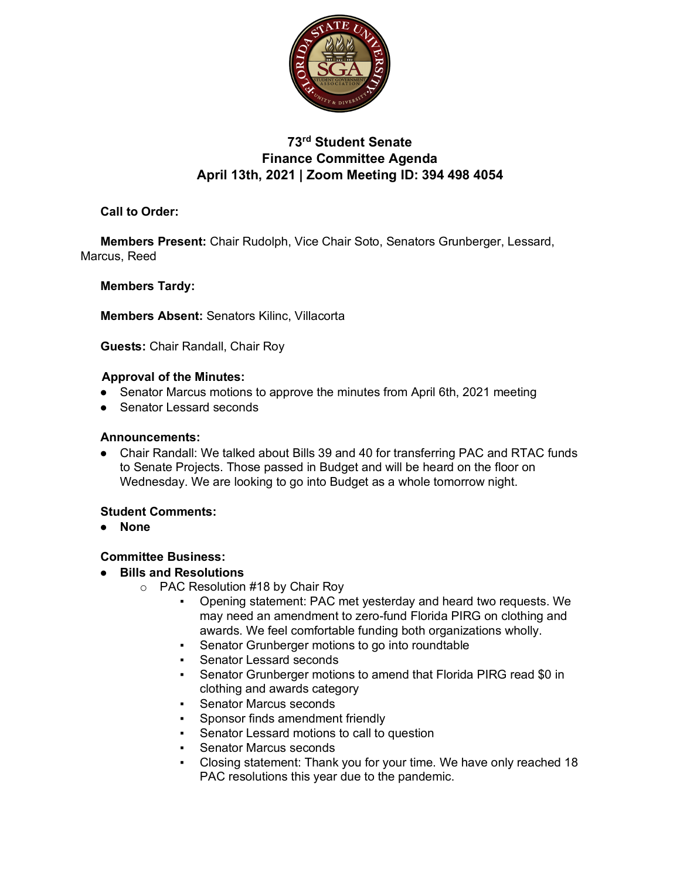

# **73rd Student Senate Finance Committee Agenda April 13th, 2021 | Zoom Meeting ID: 394 498 4054**

**Call to Order:** 

**Members Present:** Chair Rudolph, Vice Chair Soto, Senators Grunberger, Lessard, Marcus, Reed

# **Members Tardy:**

**Members Absent:** Senators Kilinc, Villacorta

**Guests:** Chair Randall, Chair Roy

#### **Approval of the Minutes:**

- Senator Marcus motions to approve the minutes from April 6th, 2021 meeting
- Senator Lessard seconds

### **Announcements:**

● Chair Randall: We talked about Bills 39 and 40 for transferring PAC and RTAC funds to Senate Projects. Those passed in Budget and will be heard on the floor on Wednesday. We are looking to go into Budget as a whole tomorrow night.

# **Student Comments:**

● **None**

# **Committee Business:**

- **Bills and Resolutions**
	- o PAC Resolution #18 by Chair Roy
		- Opening statement: PAC met yesterday and heard two requests. We may need an amendment to zero-fund Florida PIRG on clothing and awards. We feel comfortable funding both organizations wholly.
		- Senator Grunberger motions to go into roundtable
		- **Senator Lessard seconds**
		- Senator Grunberger motions to amend that Florida PIRG read \$0 in clothing and awards category
		- **Senator Marcus seconds**
		- Sponsor finds amendment friendly
		- Senator Lessard motions to call to question
		- **Senator Marcus seconds**
		- Closing statement: Thank you for your time. We have only reached 18 PAC resolutions this year due to the pandemic.